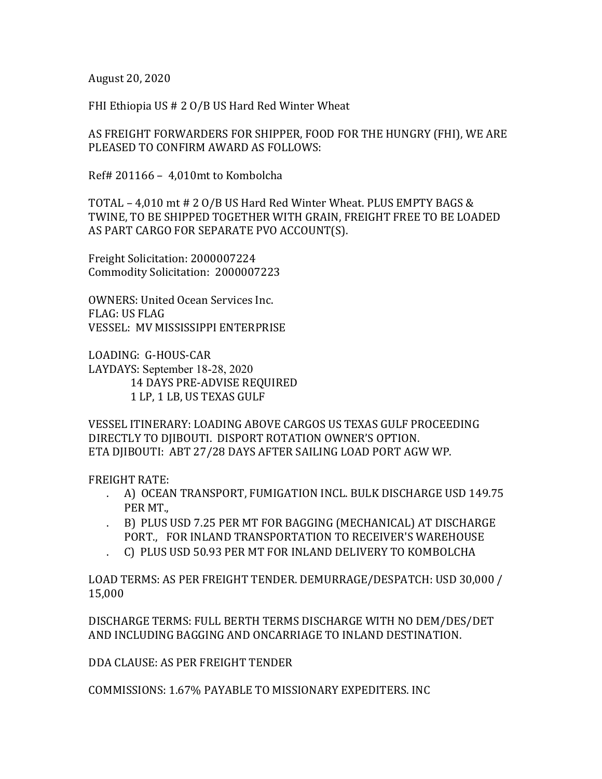August 20, 2020

FHI Ethiopia US  $# 2 O/B$  US Hard Red Winter Wheat

AS FREIGHT FORWARDERS FOR SHIPPER, FOOD FOR THE HUNGRY (FHI), WE ARE PLEASED TO CONFIRM AWARD AS FOLLOWS:

Ref# 201166 –  $4.010$ mt to Kombolcha

TOTAL - 4,010 mt # 2 O/B US Hard Red Winter Wheat. PLUS EMPTY BAGS & TWINE, TO BE SHIPPED TOGETHER WITH GRAIN, FREIGHT FREE TO BE LOADED AS PART CARGO FOR SEPARATE PVO ACCOUNT(S).

Freight Solicitation: 2000007224 Commodity Solicitation: 2000007223

OWNERS: United Ocean Services Inc. FLAG: US FLAG VESSEL: MV MISSISSIPPI ENTERPRISE

LOADING: G-HOUS-CAR LAYDAYS: September 18-28, 2020 14 DAYS PRE-ADVISE REQUIRED 1 LP, 1 LB, US TEXAS GULF

VESSEL ITINERARY: LOADING ABOVE CARGOS US TEXAS GULF PROCEEDING DIRECTLY TO DIIBOUTI. DISPORT ROTATION OWNER'S OPTION. ETA DJIBOUTI: ABT 27/28 DAYS AFTER SAILING LOAD PORT AGW WP.

FREIGHT RATE:

- . A) OCEAN TRANSPORT, FUMIGATION INCL. BULK DISCHARGE USD 149.75 PER MT.,
- . B) PLUS USD 7.25 PER MT FOR BAGGING (MECHANICAL) AT DISCHARGE PORT., FOR INLAND TRANSPORTATION TO RECEIVER'S WAREHOUSE
- C) PLUS USD 50.93 PER MT FOR INLAND DELIVERY TO KOMBOLCHA

LOAD TERMS: AS PER FREIGHT TENDER. DEMURRAGE/DESPATCH: USD 30,000 / 15,000

DISCHARGE TERMS: FULL BERTH TERMS DISCHARGE WITH NO DEM/DES/DET AND INCLUDING BAGGING AND ONCARRIAGE TO INLAND DESTINATION.

DDA CLAUSE: AS PER FREIGHT TENDER 

COMMISSIONS: 1.67% PAYABLE TO MISSIONARY EXPEDITERS. INC